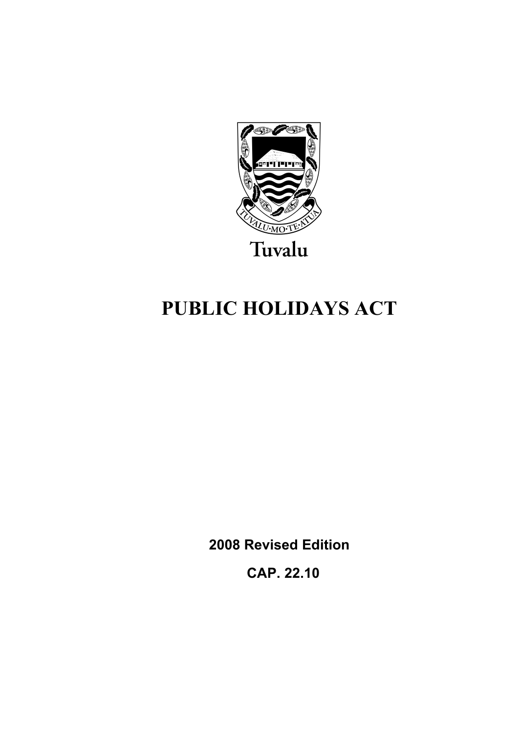

# **PUBLIC HOLIDAYS ACT**

**2008 Revised Edition** 

 **CAP. 22.10**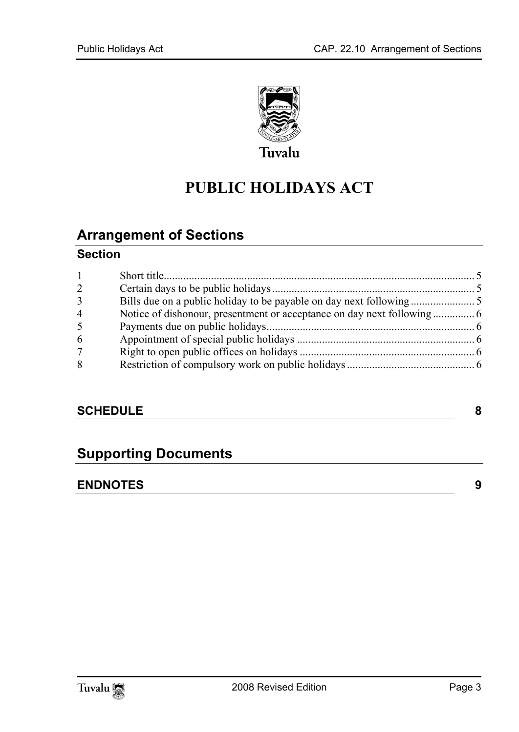

# **PUBLIC HOLIDAYS ACT**

### **Arrange[ment of Sections](#page-4-1)**

#### **Section**

| $\mathbf{1}$   |  |
|----------------|--|
| $\overline{2}$ |  |
| $\overline{3}$ |  |
| $\overline{4}$ |  |
| 5              |  |
| 6              |  |
| $\overline{7}$ |  |
| 8              |  |
|                |  |

#### **SCHEDULE** 8

### **Supporting Documents**

#### **ENDNOTES 9**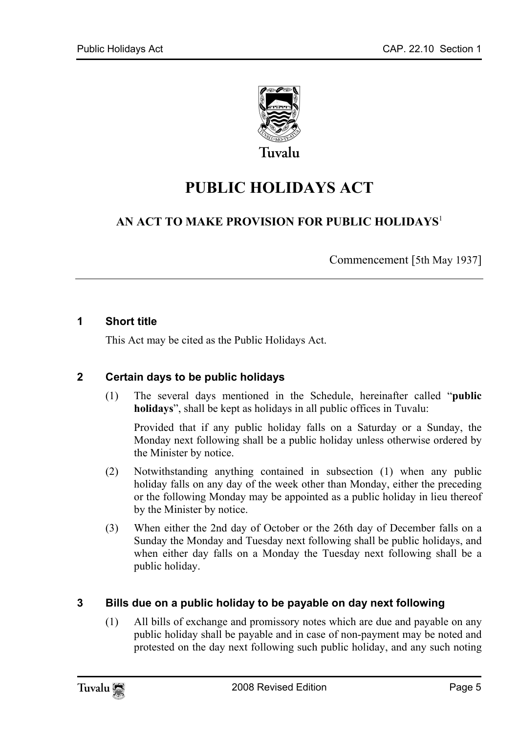

Tuvalu

## **PUBLIC HOLIDAYS ACT**

#### **AN ACT TO MAKE PROVISION FOR PUBLIC HOLIDAYS**<sup>1</sup>

Commencement [5th May 1937]

#### **1 Short title**

<span id="page-4-0"></span>This Act may be cited as the Public Holidays Act.

#### **2 Certain days to be public holidays**

(1) The several days mentioned in the Schedule, hereinafter called "**public holidays**", shall be kept as holidays in all public offices in Tuvalu:

Provided that if any public holiday falls on a Saturday or a Sunday, the Monday next following shall be a public holiday unless otherwise ordered by the Minister by notice.

- (2) Notwithstanding anything contained in subsection (1) when any public holiday falls on any day of the week other than Monday, either the preceding or the following Monday may be appointed as a public holiday in lieu thereof by the Minister by notice.
- <span id="page-4-1"></span>(3) When either the 2nd day of October or the 26th day of December falls on a Sunday the Monday and Tuesday next following shall be public holidays, and when either day falls on a Monday the Tuesday next following shall be a public holiday.

#### **3 Bills due on a public holiday to be payable on day next following**

(1) All bills of exchange and promissory notes which are due and payable on any public holiday shall be payable and in case of non-payment may be noted and protested on the day next following such public holiday, and any such noting

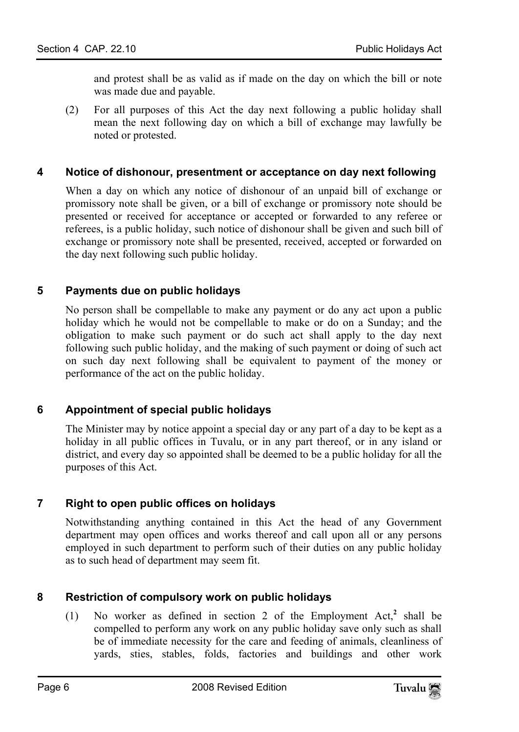and protest shall be as valid as if made on the day on which the bill or note was made due and payable.

(2) For all purposes of this Act the day next following a public holiday shall mean the next following day on which a bill of exchange may lawfully be noted or protested.

#### **4 Notice of dishonour, presentment or acceptance on day next following**

When a day on which any notice of dishonour of an unpaid bill of exchange or promissory note shall be given, or a bill of exchange or promissory note should be presented or received for acceptance or accepted or forwarded to any referee or referees, is a public holiday, such notice of dishonour shall be given and such bill of exchange or promissory note shall be presented, received, accepted or forwarded on the day next following such public holiday.

#### **5 Payments due on public holidays**

<span id="page-5-0"></span>No person shall be compellable to make any payment or do any act upon a public holiday which he would not be compellable to make or do on a Sunday; and the obligation to make such payment or do such act shall apply to the day next following such public holiday, and the making of such payment or doing of such act on such day next following shall be equivalent to payment of the money or performance of the act on the public holiday.

#### **6 Appointment of special public holidays**

<span id="page-5-1"></span>The Minister may by notice appoint a special day or any part of a day to be kept as a holiday in all public offices in Tuvalu, or in any part thereof, or in any island or district, and every day so appointed shall be deemed to be a public holiday for all the purposes of this Act.

#### **7 Right to open public offices on holidays**

<span id="page-5-2"></span>Notwithstanding anything contained in this Act the head of any Government department may open offices and works thereof and call upon all or any persons employed in such department to perform such of their duties on any public holiday as to such head of department may seem fit.

#### **8 Restriction of compulsory work on public holidays**

(1) No worker as defined in section 2 of the Employment Act, $^2$  shall be compelled to perform any work on any public holiday save only such as shall be of immediate necessity for the care and feeding of animals, cleanliness of yards, sties, stables, folds, factories and buildings and other work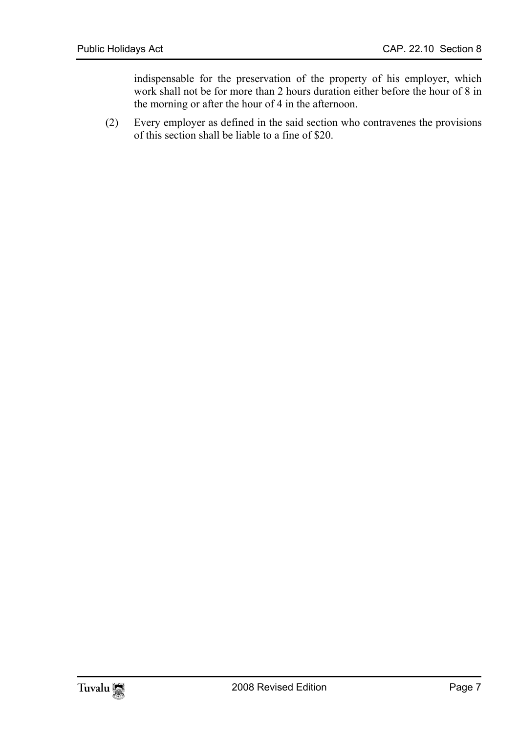indispensable for the preservation of the property of his employer, which work shall not be for more than 2 hours duration either before the hour of 8 in the morning or after the hour of 4 in the afternoon.

(2) Every employer as defined in the said section who contravenes the provisions of this section shall be liable to a fine of \$20.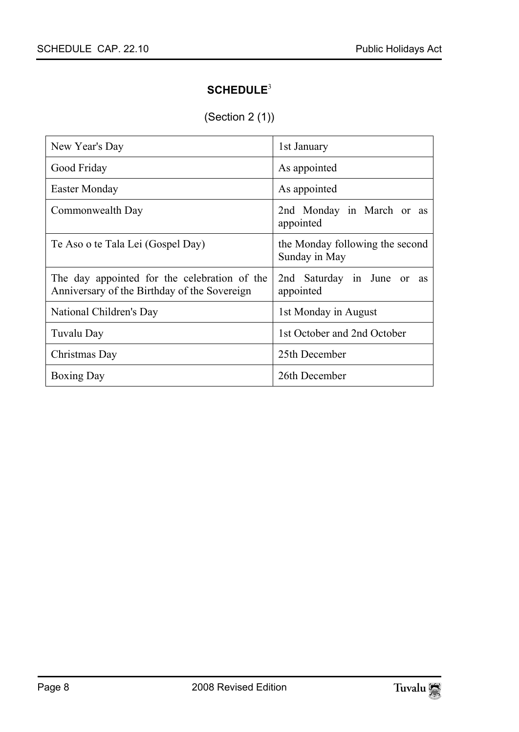#### <span id="page-7-0"></span>**SCHEDULE**<sup>3</sup>

(Section 2 (1))

| New Year's Day                                                                               | 1st January                                      |  |  |
|----------------------------------------------------------------------------------------------|--------------------------------------------------|--|--|
| Good Friday                                                                                  | As appointed                                     |  |  |
| Easter Monday                                                                                | As appointed                                     |  |  |
| Commonwealth Day                                                                             | 2nd Monday in March or as<br>appointed           |  |  |
| Te Aso o te Tala Lei (Gospel Day)                                                            | the Monday following the second<br>Sunday in May |  |  |
| The day appointed for the celebration of the<br>Anniversary of the Birthday of the Sovereign | 2nd Saturday in June or<br>as<br>appointed       |  |  |
| National Children's Day                                                                      | 1st Monday in August                             |  |  |
| Tuvalu Day                                                                                   | 1st October and 2nd October                      |  |  |
| Christmas Day                                                                                | 25th December                                    |  |  |
| <b>Boxing Day</b>                                                                            | 26th December                                    |  |  |